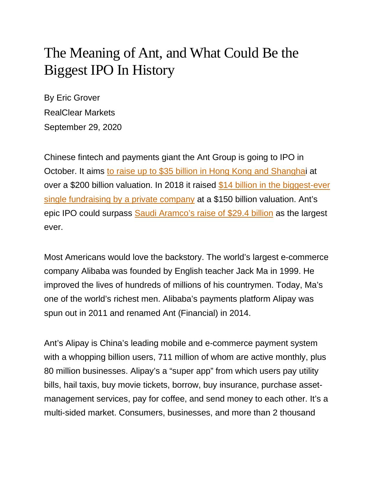## The Meaning of Ant, and What Could Be the Biggest IPO In History

By Eric Grover RealClear Markets September 29, 2020

Chinese fintech and payments giant the Ant Group is going to IPO in October. It aims [to raise up to \\$35 billion in Hong Kong and Shanghai](https://www.channelnewsasia.com/news/business/china-ant-alibaba-ipo-investors-funds-13155928) at over a \$200 billion valuation. In 2018 it raised \$14 billion in the biggest-ever [single fundraising by a private company](https://www.reuters.com/finance/article/us-ant-financial-fundraising/ant-financial-raises-14-billion-in-worlds-largest-ever-single-fundraising-idUSKCN1J407Y) at a \$150 billion valuation. Ant's epic IPO could surpass [Saudi Aramco's raise of \\$29.4 billion](https://www.reuters.com/article/us-saudi-aramco-stocks/saudi-aramco-raises-ipo-to-record-29-4-billion-by-over-allotment-of-shares-idUSKBN1ZB03D) as the largest ever.

Most Americans would love the backstory. The world's largest e-commerce company Alibaba was founded by English teacher Jack Ma in 1999. He improved the lives of hundreds of millions of his countrymen. Today, Ma's one of the world's richest men. Alibaba's payments platform Alipay was spun out in 2011 and renamed Ant (Financial) in 2014.

Ant's Alipay is China's leading mobile and e-commerce payment system with a whopping billion users, 711 million of whom are active monthly, plus 80 million businesses. Alipay's a "super app" from which users pay utility bills, hail taxis, buy movie tickets, borrow, buy insurance, purchase assetmanagement services, pay for coffee, and send money to each other. It's a multi-sided market. Consumers, businesses, and more than 2 thousand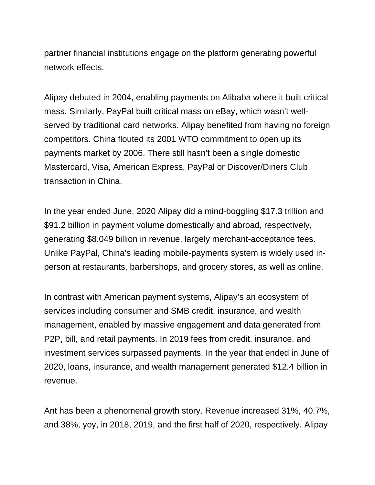partner financial institutions engage on the platform generating powerful network effects.

Alipay debuted in 2004, enabling payments on Alibaba where it built critical mass. Similarly, PayPal built critical mass on eBay, which wasn't wellserved by traditional card networks. Alipay benefited from having no foreign competitors. China flouted its 2001 WTO commitment to open up its payments market by 2006. There still hasn't been a single domestic Mastercard, Visa, American Express, PayPal or Discover/Diners Club transaction in China.

In the year ended June, 2020 Alipay did a mind-boggling \$17.3 trillion and \$91.2 billion in payment volume domestically and abroad, respectively, generating \$8.049 billion in revenue, largely merchant-acceptance fees. Unlike PayPal, China's leading mobile-payments system is widely used inperson at restaurants, barbershops, and grocery stores, as well as online.

In contrast with American payment systems, Alipay's an ecosystem of services including consumer and SMB credit, insurance, and wealth management, enabled by massive engagement and data generated from P2P, bill, and retail payments. In 2019 fees from credit, insurance, and investment services surpassed payments. In the year that ended in June of 2020, loans, insurance, and wealth management generated \$12.4 billion in revenue.

Ant has been a phenomenal growth story. Revenue increased 31%, 40.7%, and 38%, yoy, in 2018, 2019, and the first half of 2020, respectively. Alipay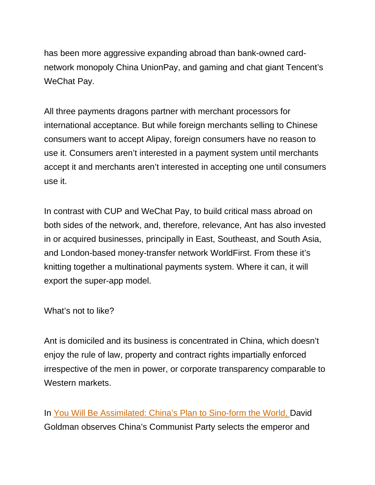has been more aggressive expanding abroad than bank-owned cardnetwork monopoly China UnionPay, and gaming and chat giant Tencent's WeChat Pay.

All three payments dragons partner with merchant processors for international acceptance. But while foreign merchants selling to Chinese consumers want to accept Alipay, foreign consumers have no reason to use it. Consumers aren't interested in a payment system until merchants accept it and merchants aren't interested in accepting one until consumers use it.

In contrast with CUP and WeChat Pay, to build critical mass abroad on both sides of the network, and, therefore, relevance, Ant has also invested in or acquired businesses, principally in East, Southeast, and South Asia, and London-based money-transfer network WorldFirst. From these it's knitting together a multinational payments system. Where it can, it will export the super-app model.

What's not to like?

Ant is domiciled and its business is concentrated in China, which doesn't enjoy the rule of law, property and contract rights impartially enforced irrespective of the men in power, or corporate transparency comparable to Western markets.

In [You Will Be Assimilated: China's Plan to Sino-form the World,](https://www.amazon.com/You-Will-Be-Assimilated-Sino-form/dp/1642935409) David Goldman observes China's Communist Party selects the emperor and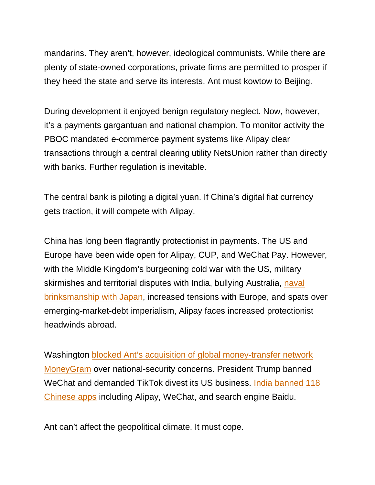mandarins. They aren't, however, ideological communists. While there are plenty of state-owned corporations, private firms are permitted to prosper if they heed the state and serve its interests. Ant must kowtow to Beijing.

During development it enjoyed benign regulatory neglect. Now, however, it's a payments gargantuan and national champion. To monitor activity the PBOC mandated e-commerce payment systems like Alipay clear transactions through a central clearing utility NetsUnion rather than directly with banks. Further regulation is inevitable.

The central bank is piloting a digital yuan. If China's digital fiat currency gets traction, it will compete with Alipay.

China has long been flagrantly protectionist in payments. The US and Europe have been wide open for Alipay, CUP, and WeChat Pay. However, with the Middle Kingdom's burgeoning cold war with the US, military skirmishes and territorial disputes with India, bullying Australia, naval [brinksmanship with Japan,](https://www.wsj.com/articles/japan-china-military-provocations-revival-disputed-islands-pacifism-11594735596) increased tensions with Europe, and spats over emerging-market-debt imperialism, Alipay faces increased protectionist headwinds abroad.

Washington [blocked Ant's acquisition of global money-transfer network](https://www.reuters.com/article/us-moneygram-intl-m-a-ant-financial/u-s-blocks-moneygram-sale-to-chinas-ant-financial-on-national-security-concerns-idUSKBN1ER1R7)  [MoneyGram](https://www.reuters.com/article/us-moneygram-intl-m-a-ant-financial/u-s-blocks-moneygram-sale-to-chinas-ant-financial-on-national-security-concerns-idUSKBN1ER1R7) over national-security concerns. President Trump banned WeChat and demanded TikTok divest its US business. [India banned 118](https://economictimes.indiatimes.com/tech/internet/heres-the-full-list-of-118-chinese-mobile-applications-banned-by-the-government/articleshow/77892540.cms)  [Chinese apps](https://economictimes.indiatimes.com/tech/internet/heres-the-full-list-of-118-chinese-mobile-applications-banned-by-the-government/articleshow/77892540.cms) including Alipay, WeChat, and search engine Baidu.

Ant can't affect the geopolitical climate. It must cope.